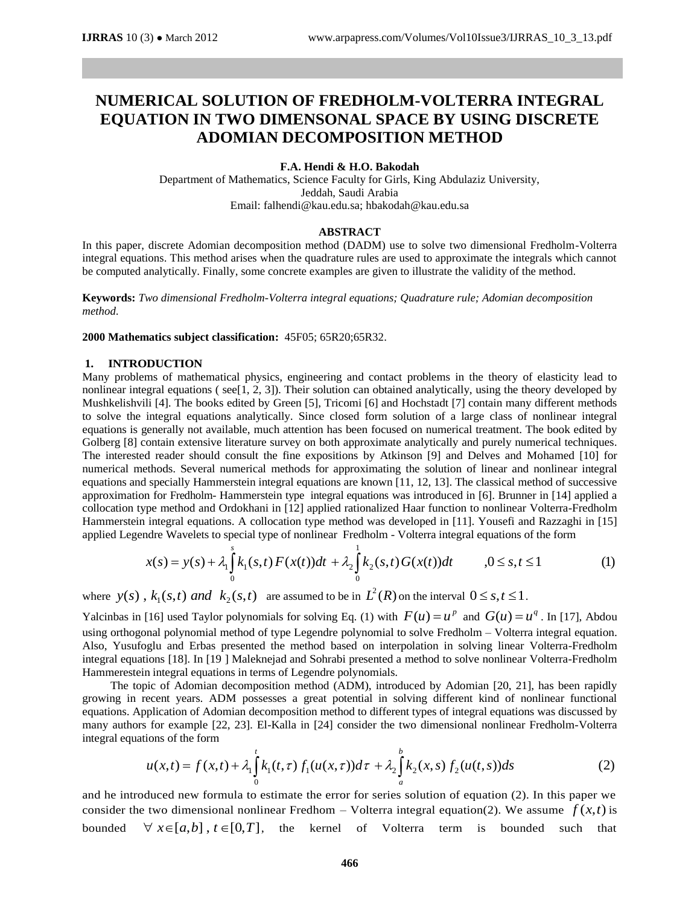# **NUMERICAL SOLUTION OF FREDHOLM-VOLTERRA INTEGRAL EQUATION IN TWO DIMENSONAL SPACE BY USING DISCRETE ADOMIAN DECOMPOSITION METHOD**

#### **F.A. Hendi & H.O. Bakodah**

Department of Mathematics, Science Faculty for Girls, King Abdulaziz University, Jeddah, Saudi Arabia Email[: falhendi@kau.edu.sa;](mailto:falhendi@kau.edu.sa) [hbakodah@kau.edu.sa](mailto:hbakodah@kau.edu.sa)

#### **ABSTRACT**

In this paper, discrete Adomian decomposition method (DADM) use to solve two dimensional Fredholm-Volterra integral equations. This method arises when the quadrature rules are used to approximate the integrals which cannot be computed analytically. Finally, some concrete examples are given to illustrate the validity of the method.

**Keywords:** *Two dimensional Fredholm-Volterra integral equations; Quadrature rule; Adomian decomposition method.*

**2000 Mathematics subject classification:** 45F05; 65R20;65R32.

## **1. INTRODUCTION**

Many problems of mathematical physics, engineering and contact problems in the theory of elasticity lead to nonlinear integral equations ( see[1, 2, 3]). Their solution can obtained analytically, using the theory developed by Mushkelishvili [4]. The books edited by Green [5], Tricomi [6] and Hochstadt [7] contain many different methods to solve the integral equations analytically. Since closed form solution of a large class of nonlinear integral equations is generally not available, much attention has been focused on numerical treatment. The book edited by Golberg  $[8]$  contain extensive literature survey on both approximate analytically and purely numerical techniques. The interested reader should consult the fine expositions by Atkinson [9] and Delves and Mohamed [10] for numerical methods. Several numerical methods for approximating the solution of linear and nonlinear integral equations and specially Hammerstein integral equations are known [11, 12, 13]. The classical method of successive approximation for Fredholm- Hammerstein type integral equations was introduced in [6]. Brunner in [14] applied a collocation type method and Ordokhani in [12] applied rationalized Haar function to nonlinear Volterra-Fredholm Hammerstein integral equations. A collocation type method was developed in [11]. Yousefi and Razzaghi in [15] applied Legendre Wavelets to special type of nonlinear Fredholm - Volterra integral equations of the form

$$
x(s) = y(s) + \lambda_1 \int_0^s k_1(s,t) F(x(t))dt + \lambda_2 \int_0^1 k_2(s,t) G(x(t))dt \qquad , 0 \le s, t \le 1
$$
 (1)

where  $y(s)$ ,  $k_1(s,t)$  and  $k_2(s,t)$  are assumed to be in  $L^2(R)$  on the interval  $0 \le s, t \le 1$ .

Yalcinbas in [16] used Taylor polynomials for solving Eq. (1) with  $F(u) = u^p$  and  $G(u) = u^q$ . In [17], Abdou using orthogonal polynomial method of type Legendre polynomial to solve Fredholm – Volterra integral equation. Also, Yusufoglu and Erbas presented the method based on interpolation in solving linear Volterra-Fredholm integral equations [18]. In [19 ] Maleknejad and Sohrabi presented a method to solve nonlinear Volterra-Fredholm Hammerestein integral equations in terms of Legendre polynomials.

 The topic of Adomian decomposition method (ADM), introduced by Adomian [20, 21], has been rapidly growing in recent years. ADM possesses a great potential in solving different kind of nonlinear functional equations. Application of Adomian decomposition method to different types of integral equations was discussed by many authors for example [22, 23]. El-Kalla in [24] consider the two dimensional nonlinear Fredholm-Volterra integral equations of the form

$$
u(x,t) = f(x,t) + \lambda_1 \int_0^t k_1(t,\tau) f_1(u(x,\tau))d\tau + \lambda_2 \int_a^b k_2(x,s) f_2(u(t,s))ds
$$
 (2)

and he introduced new formula to estimate the error for series solution of equation (2). In this paper we consider the two dimensional nonlinear Fredhom – Volterra integral equation(2). We assume  $f(x,t)$  is bounded  $\forall x \in [a,b]$ ,  $t \in [0,T]$ , the kernel of Volterra term is bounded such that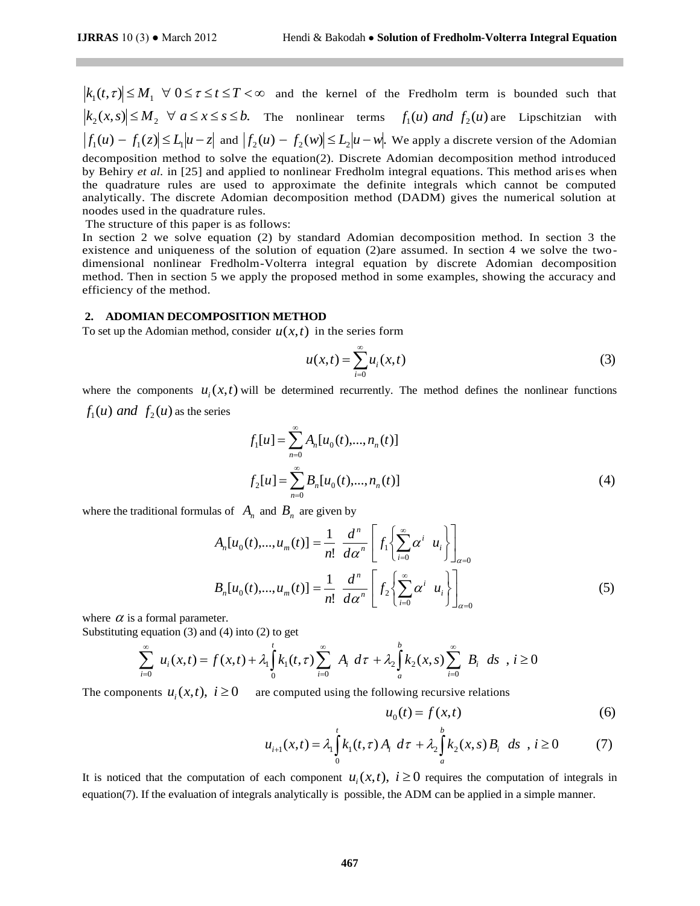$k_i(t,\tau) \leq M_1 \quad \forall 0 \leq \tau \leq t \leq T < \infty$  and the kemel<br>  $k_2(x,s) \leq M_3 \quad \forall a \leq x \leq s \leq b$ . The nonlinear  $|f_1(u) - f_1(z) \leq L_1 |u - z|$  and  $|f_2(u) - f_2(w)| \leq L_2 |w|$ <br>  $f_1(u) - f_2(z) \leq L_1 |u - z|$  and  $|g_2(u) - f_2(w)| \leq L_2 |w|$ <br>
be ompositio  $(t, \tau) \leq M_1 \quad \forall \quad 0 \leq \tau \leq t \leq T < \infty$  and the kernel of the Fredholm term is bounded such that  $k_2(x,s) \leq M_2 \quad \forall \ a \leq x \leq s \leq b.$  The nonlinear terms  $f_1(u)$  and  $f_2(u)$  are Lipschitzian with  $f_1(u) - f_1(z) \le L_1 |u-z|$  and  $|f_2(u) - f_2(w)| \le L_2 |u-w|$ . We apply a discrete version of the Adomian decomposition method to solve the equation(2). Discrete Adomian decomposition method introduced by Behiry *et al.* in [25] and applied to nonlinear Fredholm integral equations. This method arises when the quadrature rules are used to approximate the definite integrals which cannot be computed analytically. The discrete Adomian decomposition method (DADM) gives the numerical solution at noodes used in the quadrature rules.

The structure of this paper is as follows:

In section 2 we solve equation (2) by standard Adomian decomposition method. In section 3 the existence and uniqueness of the solution of equation (2)are assumed. In section 4 we solve the twodimensional nonlinear Fredholm-Volterra integral equation by discrete Adomian decomposition method. Then in section 5 we apply the proposed method in some examples, showing the accuracy and efficiency of the method.

#### **2. ADOMIAN DECOMPOSITION METHOD**

To set up the Adomian method, consider  $u(x,t)$  in the series form

$$
u(x,t) = \sum_{i=0}^{\infty} u_i(x,t)
$$
 (3)

where the components  $u_i(x,t)$  will be determined recurrently. The method defines the nonlinear functions  $f_1(u)$  *and*  $f_2(u)$  as the series

$$
f_1[u] = \sum_{n=0}^{\infty} A_n[u_0(t),...,n_n(t)]
$$
  
\n
$$
f_2[u] = \sum_{n=0}^{\infty} B_n[u_0(t),...,n_n(t)]
$$
\n(4)

where the traditional formulas of  $A_n$  and  $B_n$  are given by

$$
A_n[u_0(t),...,u_m(t)] = \frac{1}{n!} \frac{d^n}{d\alpha^n} \left[ f_1 \left\{ \sum_{i=0}^{\infty} \alpha^i u_i \right\} \right]_{\alpha=0}
$$
  

$$
B_n[u_0(t),...,u_m(t)] = \frac{1}{n!} \frac{d^n}{d\alpha^n} \left[ f_2 \left\{ \sum_{i=0}^{\infty} \alpha^i u_i \right\} \right]_{\alpha=0}
$$
 (5)

where  $\alpha$  is a formal parameter.

Substituting equation (3) and (4) into (2) to get

$$
\sum_{i=0}^{\infty} u_i(x,t) = f(x,t) + \lambda_1 \int_0^t k_1(t,\tau) \sum_{i=0}^{\infty} A_i d\tau + \lambda_2 \int_a^b k_2(x,s) \sum_{i=0}^{\infty} B_i ds, i \ge 0
$$

The components  $u_i(x,t)$ ,  $i \ge 0$  are computed using the following recursive relations

$$
u_0(t) = f(x,t) \tag{6}
$$

$$
u_{i+1}(x,t) = \lambda_1 \int_0^t k_1(t,\tau) A_i \ d\tau + \lambda_2 \int_a^b k_2(x,s) B_i \ ds , i \ge 0
$$
 (7)

It is noticed that the computation of each component  $u_i(x,t)$ ,  $i \ge 0$  requires the computation of integrals in equation(7). If the evaluation of integrals analytically is possible, the ADM can be applied in a simple manner.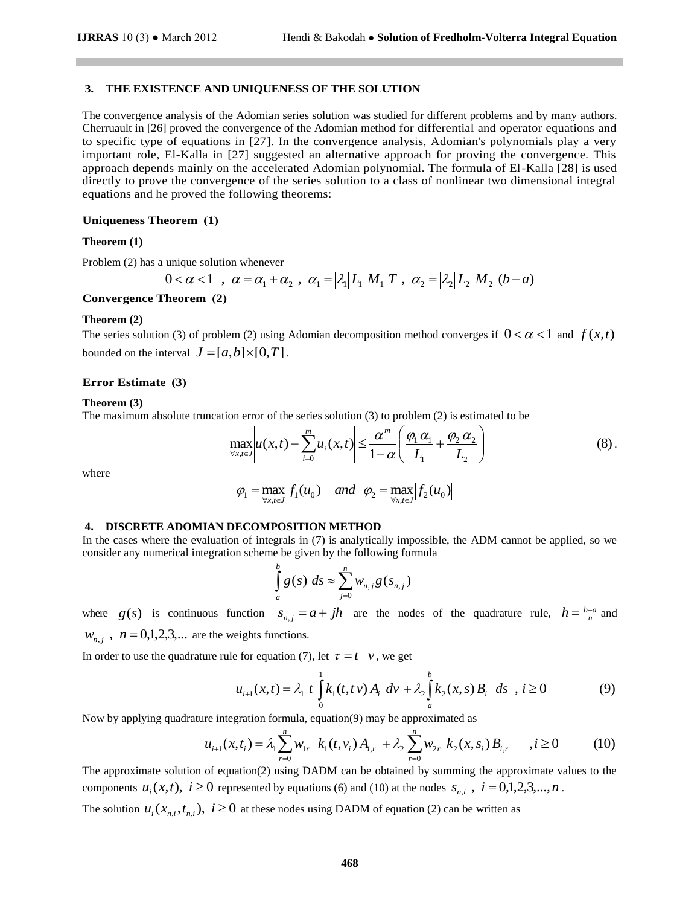## **3. THE EXISTENCE AND UNIQUENESS OF THE SOLUTION**

The convergence analysis of the Adomian series solution was studied for different problems and by many authors. Cherruault in [26] proved the convergence of the Adomian method for differential and operator equations and to specific type of equations in [27]. In the convergence analysis, Adomian's polynomials play a very important role, El-Kalla in [27] suggested an alternative approach for proving the convergence. This approach depends mainly on the accelerated Adomian polynomial. The formula of El-Kalla [28] is used directly to prove the convergence of the series solution to a class of nonlinear two dimensional integral equations and he proved the following theorems:

#### **Uniqueness Theorem (1)**

#### **Theorem (1)**

Problem (2) has a unique solution whenever

$$
0 < \alpha < 1 \quad , \ \alpha = \alpha_1 + \alpha_2 \quad , \ \alpha_1 = |\lambda_1| L_1 \ M_1 \ T \ , \ \alpha_2 = |\lambda_2| L_2 \ M_2 \ (b - a)
$$

**Convergence Theorem (2)** 

#### **Theorem (2)**

The series solution (3) of problem (2) using Adomian decomposition method converges if  $0 < \alpha < 1$  and  $f(x,t)$ bounded on the interval  $J = [a, b] \times [0, T]$ .

#### **Error Estimate** (3)

#### **Theorem (3)**

The maximum absolute truncation error of the series solution (3) to problem (2) is estimated to be

$$
\max_{\forall x, t \in J} \left| u(x, t) - \sum_{i=0}^{m} u_i(x, t) \right| \leq \frac{\alpha^m}{1 - \alpha} \left( \frac{\varphi_1 \alpha_1}{L_1} + \frac{\varphi_2 \alpha_2}{L_2} \right)
$$
(8).

where

$$
\varphi_1 = \max_{\forall x, i \in J} |f_1(u_0)| \quad \text{and} \quad \varphi_2 = \max_{\forall x, i \in J} |f_2(u_0)|
$$

### **4. DISCRETE ADOMIAN DECOMPOSITION METHOD**

In the cases where the evaluation of integrals in (7) is analytically impossible, the ADM cannot be applied, so we consider any numerical integration scheme be given by the following formula

$$
\int_a^b g(s) \, ds \approx \sum_{j=0}^n w_{n,j} g(s_{n,j})
$$

where  $g(s)$  is continuous function  $s_{n,j} = a + jh$  are the nodes of the quadrature rule,  $h = \frac{b-a}{n}$  and  $W_{n,j}$ ,  $n = 0,1,2,3,...$  are the weights functions.

In order to use the quadrature rule for equation (7), let  $\tau = t \quad v$ , we get

$$
u_{i+1}(x,t) = \lambda_1 \ t \int_0^1 k_1(t,t \nu) A_i \ dv + \lambda_2 \int_a^b k_2(x,s) B_i \ ds \ (i \ge 0)
$$
 (9)

Now by applying quadrature integration formula, equation(9) may be approximated as

$$
u_{i+1}(x,t_i) = \lambda_1 \sum_{r=0}^{n} w_{1r} \ k_1(t,v_i) A_{i,r} + \lambda_2 \sum_{r=0}^{n} w_{2r} \ k_2(x,s_i) B_{i,r} \quad , i \ge 0 \tag{10}
$$

The approximate solution of equation(2) using DADM can be obtained by summing the approximate values to the components  $u_i(x,t)$ ,  $i \ge 0$  represented by equations (6) and (10) at the nodes  $s_{n,i}$ ,  $i = 0,1,2,3,...,n$ .

The solution  $u_i(x_{n,i}, t_{n,i})$ ,  $i \ge 0$  at these nodes using DADM of equation (2) can be written as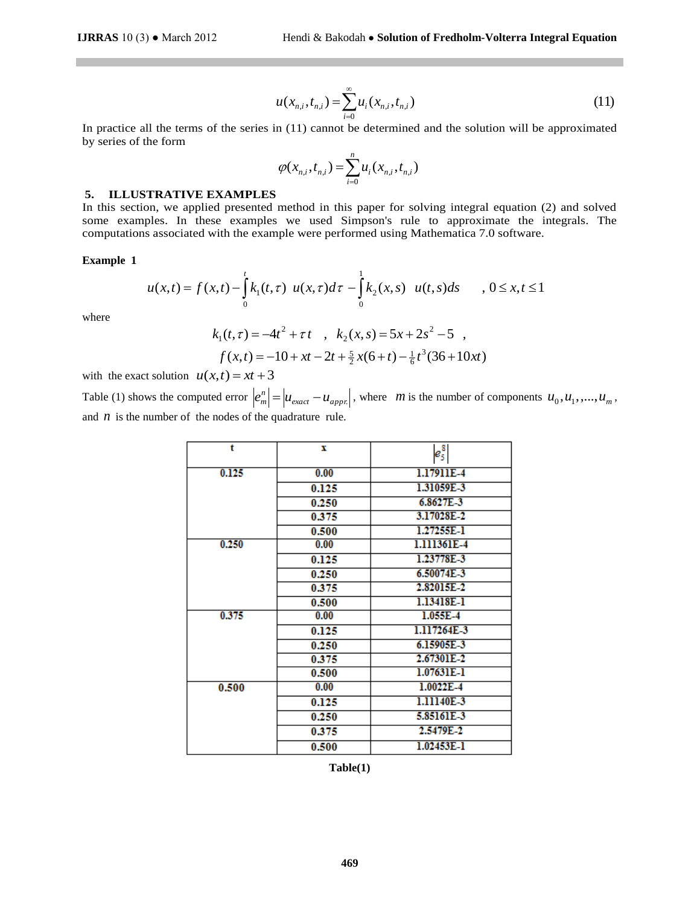$$
u(x_{n,i}, t_{n,i}) = \sum_{i=0}^{\infty} u_i(x_{n,i}, t_{n,i})
$$
\n(11)

In practice all the terms of the series in (11) cannot be determined and the solution will be approximated by series of the form

$$
\varphi(x_{n,i}, t_{n,i}) = \sum_{i=0}^{n} u_i(x_{n,i}, t_{n,i})
$$

#### **5. ILLUSTRATIVE EXAMPLES**

In this section, we applied presented method in this paper for solving integral equation (2) and solved some examples. In these examples we used Simpson's rule to approximate the integrals. The computations associated with the example were performed using Mathematica 7.0 software.

#### **Example 1**

$$
u(x,t) = f(x,t) - \int_{0}^{t} k_1(t,\tau) \ u(x,\tau) d\tau - \int_{0}^{1} k_2(x,s) \ u(t,s) ds \qquad , \ 0 \le x,t \le 1
$$

where

$$
k_1(t,\tau) = -4t^2 + \tau t \quad , \quad k_2(x,s) = 5x + 2s^2 - 5 \quad ,
$$
  

$$
f(x,t) = -10 + xt - 2t + \frac{5}{2}x(6+t) - \frac{1}{6}t^3(36+10xt)
$$

with the exact solution  $u(x,t) = xt + 3$ 

Table (1) shows the computed error  $\left|e_{m}^{n}\right| = \left|u_{exact} - u_{appr}\right|$ .  $e_m^n = |u_{exact} - u_{appx}|$ , where *m* is the number of components  $u_0, u_1, ..., u_m$ , and  $n$  is the number of the nodes of the quadrature rule.

|          |                                      | $u(x_{n,i}, t_{n,i}) = \sum_{i=0} u_i(x_{n,i}, t_{n,i})$           |                                                                                                                                       | (11) |  |  |  |  |
|----------|--------------------------------------|--------------------------------------------------------------------|---------------------------------------------------------------------------------------------------------------------------------------|------|--|--|--|--|
|          |                                      |                                                                    | erms of the series in (11) cannot be determined and the solution will be approximated                                                 |      |  |  |  |  |
| ı        |                                      |                                                                    |                                                                                                                                       |      |  |  |  |  |
|          |                                      |                                                                    |                                                                                                                                       |      |  |  |  |  |
|          |                                      | $\varphi(x_{n,i}, t_{n,i}) = \sum_{i=0}^{n} u_i(x_{n,i}, t_{n,i})$ |                                                                                                                                       |      |  |  |  |  |
|          | <b>IVE EXAMPLES</b>                  |                                                                    |                                                                                                                                       |      |  |  |  |  |
|          |                                      |                                                                    | applied presented method in this paper for solving integral equation (2) and solved                                                   |      |  |  |  |  |
|          |                                      |                                                                    | in these examples we used Simpson's rule to approximate the integrals. The                                                            |      |  |  |  |  |
|          |                                      |                                                                    | iated with the example were performed using Mathematica 7.0 software.                                                                 |      |  |  |  |  |
|          |                                      |                                                                    |                                                                                                                                       |      |  |  |  |  |
|          |                                      |                                                                    |                                                                                                                                       |      |  |  |  |  |
|          |                                      |                                                                    |                                                                                                                                       |      |  |  |  |  |
|          |                                      |                                                                    | $= f(x,t) - \int_{0}^{t} k_1(t,\tau) u(x,\tau) d\tau - \int_{0}^{t} k_2(x,s) u(t,s) ds$ , $0 \le x, t \le 1$                          |      |  |  |  |  |
|          |                                      |                                                                    |                                                                                                                                       |      |  |  |  |  |
|          |                                      |                                                                    | $k_1(t,\tau) = -4t^2 + \tau t$ , $k_2(x,s) = 5x + 2s^2 - 5$ ,                                                                         |      |  |  |  |  |
|          |                                      |                                                                    |                                                                                                                                       |      |  |  |  |  |
|          |                                      |                                                                    | $f(x,t) = -10 + xt - 2t + \frac{5}{2}x(6+t) - \frac{1}{6}t^3(36+10xt)$                                                                |      |  |  |  |  |
|          | on $u(x,t) = xt + 3$                 |                                                                    |                                                                                                                                       |      |  |  |  |  |
|          |                                      |                                                                    | omputed error $\left e_m^n\right  = \left u_{exact} - u_{appn}\right $ , where <i>m</i> is the number of components $u_0, u_1, , u_m$ |      |  |  |  |  |
|          |                                      |                                                                    |                                                                                                                                       |      |  |  |  |  |
|          | of the nodes of the quadrature rule. |                                                                    |                                                                                                                                       |      |  |  |  |  |
|          |                                      |                                                                    |                                                                                                                                       |      |  |  |  |  |
|          | t                                    | x                                                                  | $e_5^8$                                                                                                                               |      |  |  |  |  |
|          | 0.125                                | 0.00                                                               | 1.17911E-4                                                                                                                            |      |  |  |  |  |
|          |                                      | 0.125                                                              | 1.31059E-3                                                                                                                            |      |  |  |  |  |
|          |                                      | 0.250                                                              | 6.8627E-3                                                                                                                             |      |  |  |  |  |
|          |                                      | 0.375                                                              | 3.17028E-2                                                                                                                            |      |  |  |  |  |
|          |                                      | 0.500                                                              | 1.27255E-1                                                                                                                            |      |  |  |  |  |
|          | 0.250                                | 0.00                                                               | 1.111361E-4                                                                                                                           |      |  |  |  |  |
|          |                                      | 0.125                                                              | 1.23778E-3                                                                                                                            |      |  |  |  |  |
|          |                                      | 0.250                                                              | 6.50074E-3                                                                                                                            |      |  |  |  |  |
|          |                                      | 0.375                                                              | 2.82015E-2                                                                                                                            |      |  |  |  |  |
|          |                                      | 0.500                                                              | 1.13418E-1                                                                                                                            |      |  |  |  |  |
|          | 0.375                                | 0.00                                                               | 1.055E-4                                                                                                                              |      |  |  |  |  |
|          |                                      | 0.125                                                              | 1.117264E-3<br>6.15905E-3                                                                                                             |      |  |  |  |  |
|          |                                      | 0.250<br>0.375                                                     | 2.67301E-2                                                                                                                            |      |  |  |  |  |
|          |                                      | 0.500                                                              | $1.07631E-1$                                                                                                                          |      |  |  |  |  |
|          | 0.500                                | 0.00                                                               | $1.0022E - 4$                                                                                                                         |      |  |  |  |  |
|          |                                      | 0.125                                                              | 1.11140E-3                                                                                                                            |      |  |  |  |  |
|          |                                      | 0.250                                                              | 5.85161E-3                                                                                                                            |      |  |  |  |  |
|          |                                      | 0.375                                                              | 2.5479E-2                                                                                                                             |      |  |  |  |  |
|          |                                      | 0.500                                                              | 1.02453E-1                                                                                                                            |      |  |  |  |  |
|          |                                      |                                                                    |                                                                                                                                       |      |  |  |  |  |
| Table(1) |                                      |                                                                    |                                                                                                                                       |      |  |  |  |  |
|          |                                      |                                                                    |                                                                                                                                       |      |  |  |  |  |
|          |                                      |                                                                    |                                                                                                                                       |      |  |  |  |  |
|          |                                      |                                                                    |                                                                                                                                       |      |  |  |  |  |
|          |                                      |                                                                    |                                                                                                                                       |      |  |  |  |  |
|          |                                      |                                                                    |                                                                                                                                       |      |  |  |  |  |
| 469      |                                      |                                                                    |                                                                                                                                       |      |  |  |  |  |

**Table(1)**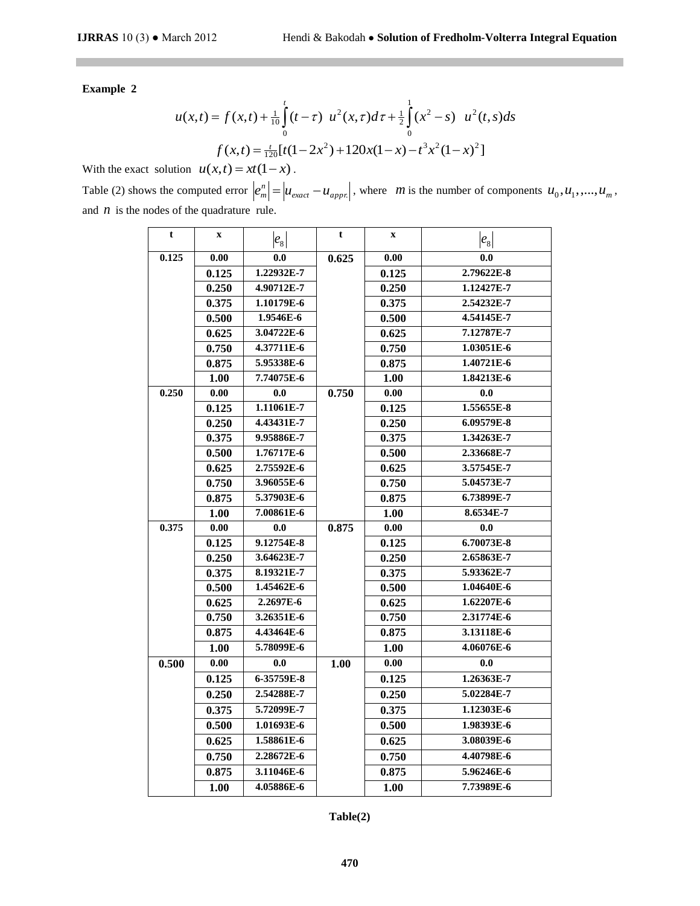**Example 2** 

$$
u(x,t) = f(x,t) + \frac{1}{10} \int_{0}^{t} (t-\tau) \ u^{2}(x,\tau) d\tau + \frac{1}{2} \int_{0}^{1} (x^{2} - s) \ u^{2}(t,s) ds
$$

$$
f(x,t) = \frac{t}{120} [t(1-2x^{2}) + 120x(1-x) - t^{3}x^{2}(1-x)^{2}]
$$

With the exact solution  $u(x,t) = xt(1-x)$ .

Table (2) shows the computed error  $\left| e_{m}^{n} \right| = \left| u_{exact} - u_{appn} \right|$  $e_m^n = |u_{exact} - u_{appx}|$ , where *m* is the number of components  $u_0, u_1, ..., u_m$ , and  $n$  is the nodes of the quadrature rule.

| t     | $\mathbf{x}$ | $ e_8 $    | t     | $\mathbf x$         | $ e_8 $    |
|-------|--------------|------------|-------|---------------------|------------|
| 0.125 | 0.00         | 0.0        | 0.625 | $\boldsymbol{0.00}$ | 0.0        |
|       | 0.125        | 1.22932E-7 |       | 0.125               | 2.79622E-8 |
|       | 0.250        | 4.90712E-7 |       | 0.250               | 1.12427E-7 |
|       | 0.375        | 1.10179E-6 |       | 0.375               | 2.54232E-7 |
|       | 0.500        | 1.9546E-6  |       | 0.500               | 4.54145E-7 |
|       | 0.625        | 3.04722E-6 |       | 0.625               | 7.12787E-7 |
|       | 0.750        | 4.37711E-6 |       | 0.750               | 1.03051E-6 |
|       | 0.875        | 5.95338E-6 |       | 0.875               | 1.40721E-6 |
|       | 1.00         | 7.74075E-6 |       | 1.00                | 1.84213E-6 |
| 0.250 | 0.00         | 0.0        | 0.750 | 0.00                | 0.0        |
|       | 0.125        | 1.11061E-7 |       | 0.125               | 1.55655E-8 |
|       | 0.250        | 4.43431E-7 |       | 0.250               | 6.09579E-8 |
|       | 0.375        | 9.95886E-7 |       | 0.375               | 1.34263E-7 |
|       | 0.500        | 1.76717E-6 |       | 0.500               | 2.33668E-7 |
|       | 0.625        | 2.75592E-6 |       | 0.625               | 3.57545E-7 |
|       | 0.750        | 3.96055E-6 |       | 0.750               | 5.04573E-7 |
|       | 0.875        | 5.37903E-6 |       | 0.875               | 6.73899E-7 |
|       | 1.00         | 7.00861E-6 |       | 1.00                | 8.6534E-7  |
| 0.375 | 0.00         | 0.0        | 0.875 | 0.00                | 0.0        |
|       | 0.125        | 9.12754E-8 |       | 0.125               | 6.70073E-8 |
|       | 0.250        | 3.64623E-7 |       | 0.250               | 2.65863E-7 |
|       | 0.375        | 8.19321E-7 |       | 0.375               | 5.93362E-7 |
|       | 0.500        | 1.45462E-6 |       | 0.500               | 1.04640E-6 |
|       | 0.625        | 2.2697E-6  |       | 0.625               | 1.62207E-6 |
|       | 0.750        | 3.26351E-6 |       | 0.750               | 2.31774E-6 |
|       | 0.875        | 4.43464E-6 |       | 0.875               | 3.13118E-6 |
|       | 1.00         | 5.78099E-6 |       | 1.00                | 4.06076E-6 |
| 0.500 | 0.00         | 0.0        | 1.00  | 0.00                | 0.0        |
|       | 0.125        | 6-35759E-8 |       | 0.125               | 1.26363E-7 |
|       | 0.250        | 2.54288E-7 |       | 0.250               | 5.02284E-7 |
|       | 0.375        | 5.72099E-7 |       | 0.375               | 1.12303E-6 |
|       | 0.500        | 1.01693E-6 |       | 0.500               | 1.98393E-6 |
|       | 0.625        | 1.58861E-6 |       | 0.625               | 3.08039E-6 |
|       | 0.750        | 2.28672E-6 |       | 0.750               | 4.40798E-6 |
|       | 0.875        | 3.11046E-6 |       | 0.875               | 5.96246E-6 |
|       | 1.00         | 4.05886E-6 |       | 1.00                | 7.73989E-6 |

**Table(2)**

**470**